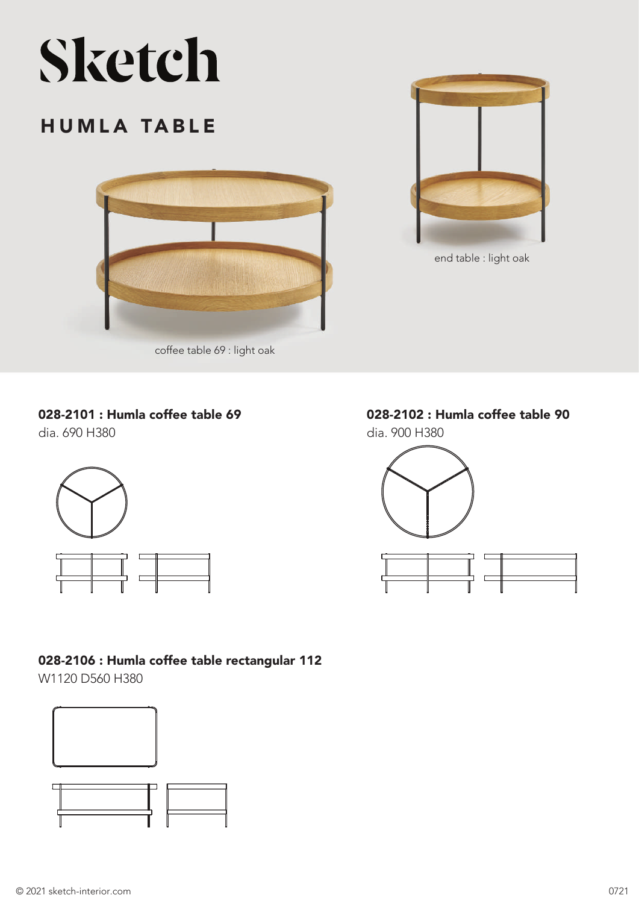# Sketch

## HUMLA TABLE



coffee table 69 : light oak

#### 028-2101 : Humla coffee table 69

dia. 690 H380



#### 028-2106 : Humla coffee table rectangular 112

W1120 D560 H380





end table : light oak

## 028-2102 : Humla coffee table 90

dia. 900 H380

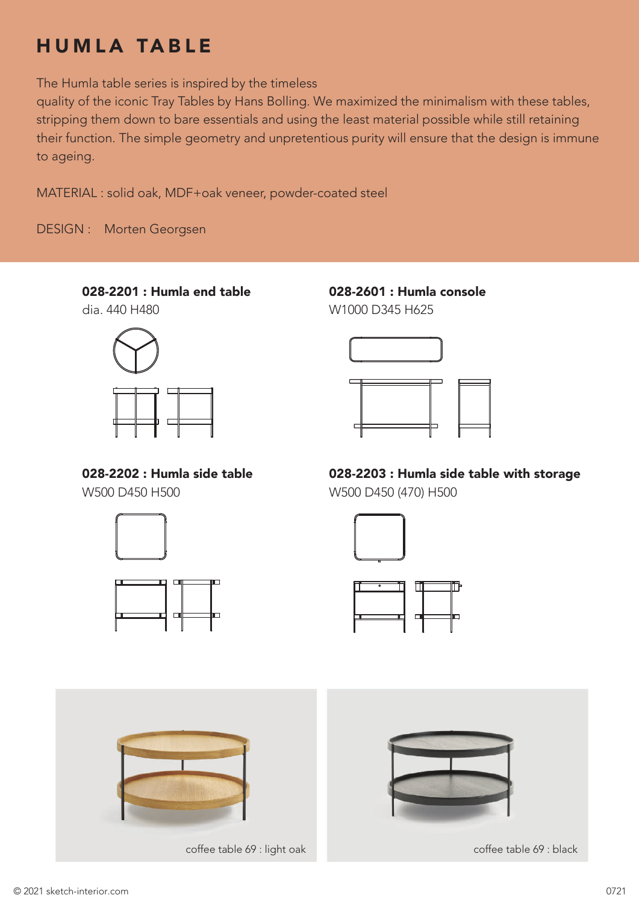# HUMLA TABLE

The Humla table series is inspired by the timeless

quality of the iconic Tray Tables by Hans Bolling. We maximized the minimalism with these tables, stripping them down to bare essentials and using the least material possible while still retaining their function. The simple geometry and unpretentious purity will ensure that the design is immune to ageing.

MATERIAL : solid oak, MDF+oak veneer, powder-coated steel

DESIGN : Morten Georgsen

### 028-2201 : Humla end table

dia. 440 H480



028-2202 : Humla side table W500 D450 H500



028-2601 : Humla console W1000 D345 H625



028-2203 : Humla side table with storage W500 D450 (470) H500